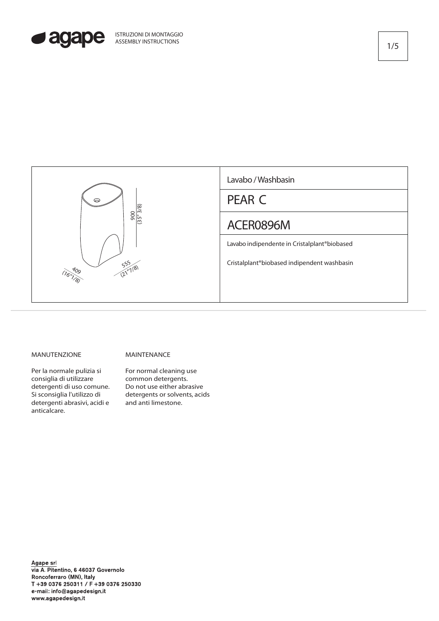



## MANUTENZIONE

MAINTENANCE

Per la normale pulizia si consiglia di utilizzare detergenti di uso comune. Si sconsiglia l'utilizzo di detergenti abrasivi, acidi e anticalcare.

For normal cleaning use common detergents. Do not use either abrasive detergents or solvents, acids<br>and anti limestone.

Agape srl via A. Pitentino, 6 46037 Governolo Roncoferraro (MN), Italy T +39 0376 250311 / F +39 0376 250330 e-mail: info@agapedesign.it www.agapedesign.it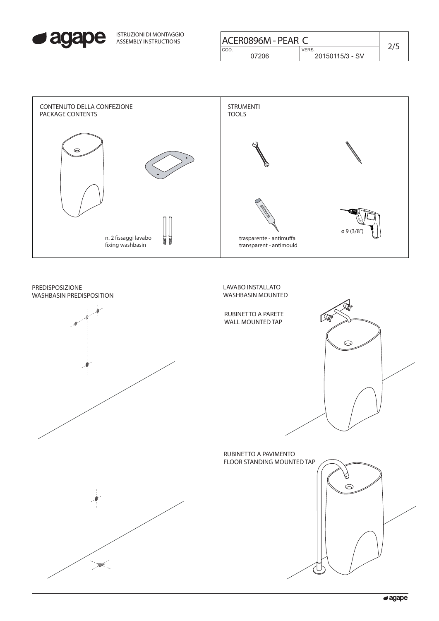

| ISTRUZIONI DI MONTAGGIO<br>ASSEMBLY INSTRUCTIONS |                 | ACER0896M - PEAR C |  |
|--------------------------------------------------|-----------------|--------------------|--|
|                                                  | CO <sub>D</sub> | <b>VERS</b>        |  |
|                                                  | ን7206           | 20150115/3 - SV    |  |
|                                                  |                 |                    |  |



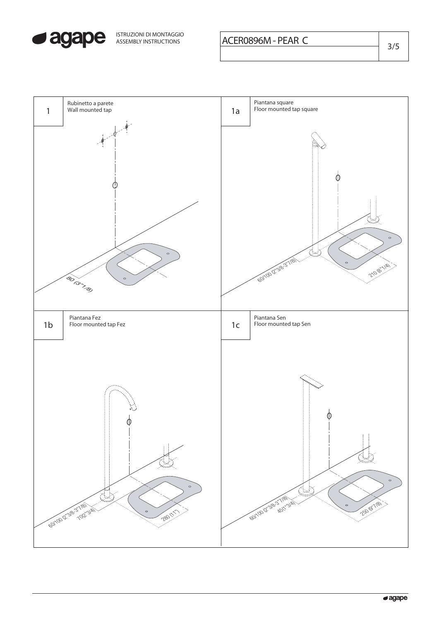

ISTRUZIONI DI MONTAGGIO

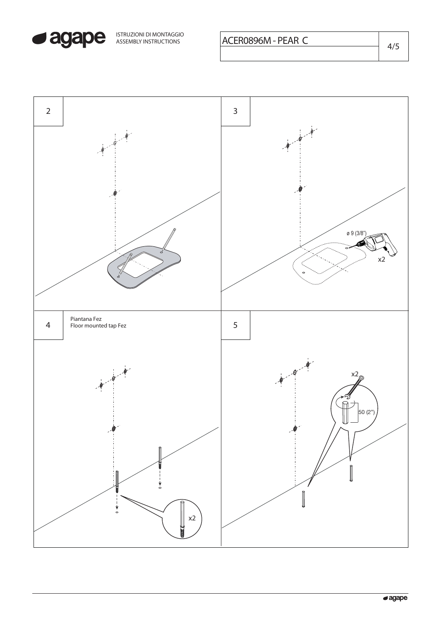

ISTRUZIONI DI MONTAGGIO<br>ASSEMBLY INSTRUCTIONS **ACERO896M - PEAR C** 4/5